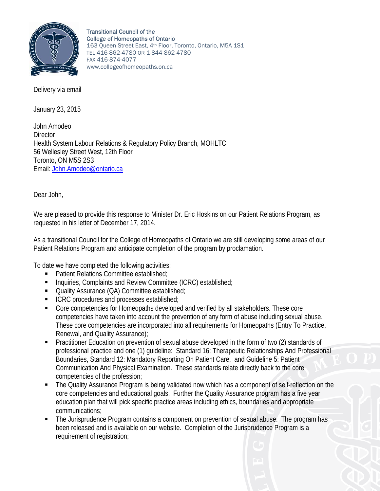

Transitional Council of the College of Homeopaths of Ontario 163 Queen Street East, 4th Floor, Toronto, Ontario, M5A 1S1 TEL 416-862-4780 OR 1-844-862-4780 FAX 416-874-4077 www.collegeofhomeopaths.on.ca

January 23, 2015

John Amodeo **Director** Health System Labour Relations & Regulatory Policy Branch, MOHLTC 56 Wellesley Street West, 12th Floor Toronto, ON M5S 2S3 Email: John.Amodeo@ontario.ca

Dear John,

We are pleased to provide this response to Minister Dr. Eric Hoskins on our Patient Relations Program, as requested in his letter of December 17, 2014.

As a transitional Council for the College of Homeopaths of Ontario we are still developing some areas of our Patient Relations Program and anticipate completion of the program by proclamation.

To date we have completed the following activities:

- Patient Relations Committee established;
- Inquiries, Complaints and Review Committee (ICRC) established;
- Quality Assurance (QA) Committee established;
- ICRC procedures and processes established;
- Core competencies for Homeopaths developed and verified by all stakeholders. These core competencies have taken into account the prevention of any form of abuse including sexual abuse. These core competencies are incorporated into all requirements for Homeopaths (Entry To Practice, Renewal, and Quality Assurance);
- Practitioner Education on prevention of sexual abuse developed in the form of two (2) standards of professional practice and one (1) guideline: Standard 16: Therapeutic Relationships And Professional Boundaries, Standard 12: Mandatory Reporting On Patient Care, and Guideline 5: Patient Communication And Physical Examination. These standards relate directly back to the core competencies of the profession;
- The Quality Assurance Program is being validated now which has a component of self-reflection on the core competencies and educational goals. Further the Quality Assurance program has a five year education plan that will pick specific practice areas including ethics, boundaries and appropriate communications;
- The Jurisprudence Program contains a component on prevention of sexual abuse. The program has been released and is available on our website. Completion of the Jurisprudence Program is a requirement of registration;